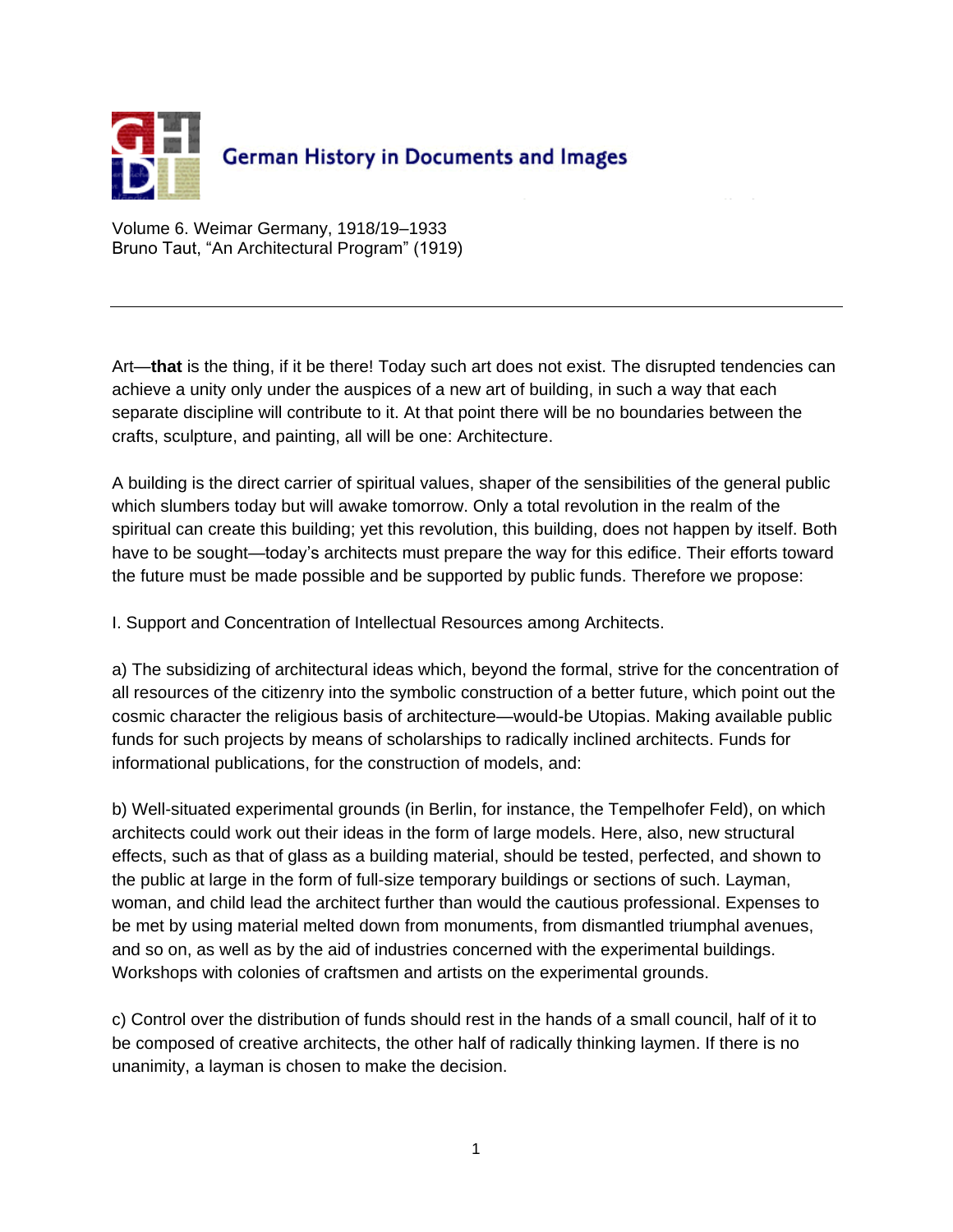

Volume 6. Weimar Germany, 1918/19–1933 Bruno Taut, "An Architectural Program" (1919)

Art—**that** is the thing, if it be there! Today such art does not exist. The disrupted tendencies can achieve a unity only under the auspices of a new art of building, in such a way that each separate discipline will contribute to it. At that point there will be no boundaries between the crafts, sculpture, and painting, all will be one: Architecture.

A building is the direct carrier of spiritual values, shaper of the sensibilities of the general public which slumbers today but will awake tomorrow. Only a total revolution in the realm of the spiritual can create this building; yet this revolution, this building, does not happen by itself. Both have to be sought—today's architects must prepare the way for this edifice. Their efforts toward the future must be made possible and be supported by public funds. Therefore we propose:

I. Support and Concentration of Intellectual Resources among Architects.

a) The subsidizing of architectural ideas which, beyond the formal, strive for the concentration of all resources of the citizenry into the symbolic construction of a better future, which point out the cosmic character the religious basis of architecture—would-be Utopias. Making available public funds for such projects by means of scholarships to radically inclined architects. Funds for informational publications, for the construction of models, and:

b) Well-situated experimental grounds (in Berlin, for instance, the Tempelhofer Feld), on which architects could work out their ideas in the form of large models. Here, also, new structural effects, such as that of glass as a building material, should be tested, perfected, and shown to the public at large in the form of full-size temporary buildings or sections of such. Layman, woman, and child lead the architect further than would the cautious professional. Expenses to be met by using material melted down from monuments, from dismantled triumphal avenues, and so on, as well as by the aid of industries concerned with the experimental buildings. Workshops with colonies of craftsmen and artists on the experimental grounds.

c) Control over the distribution of funds should rest in the hands of a small council, half of it to be composed of creative architects, the other half of radically thinking laymen. If there is no unanimity, a layman is chosen to make the decision.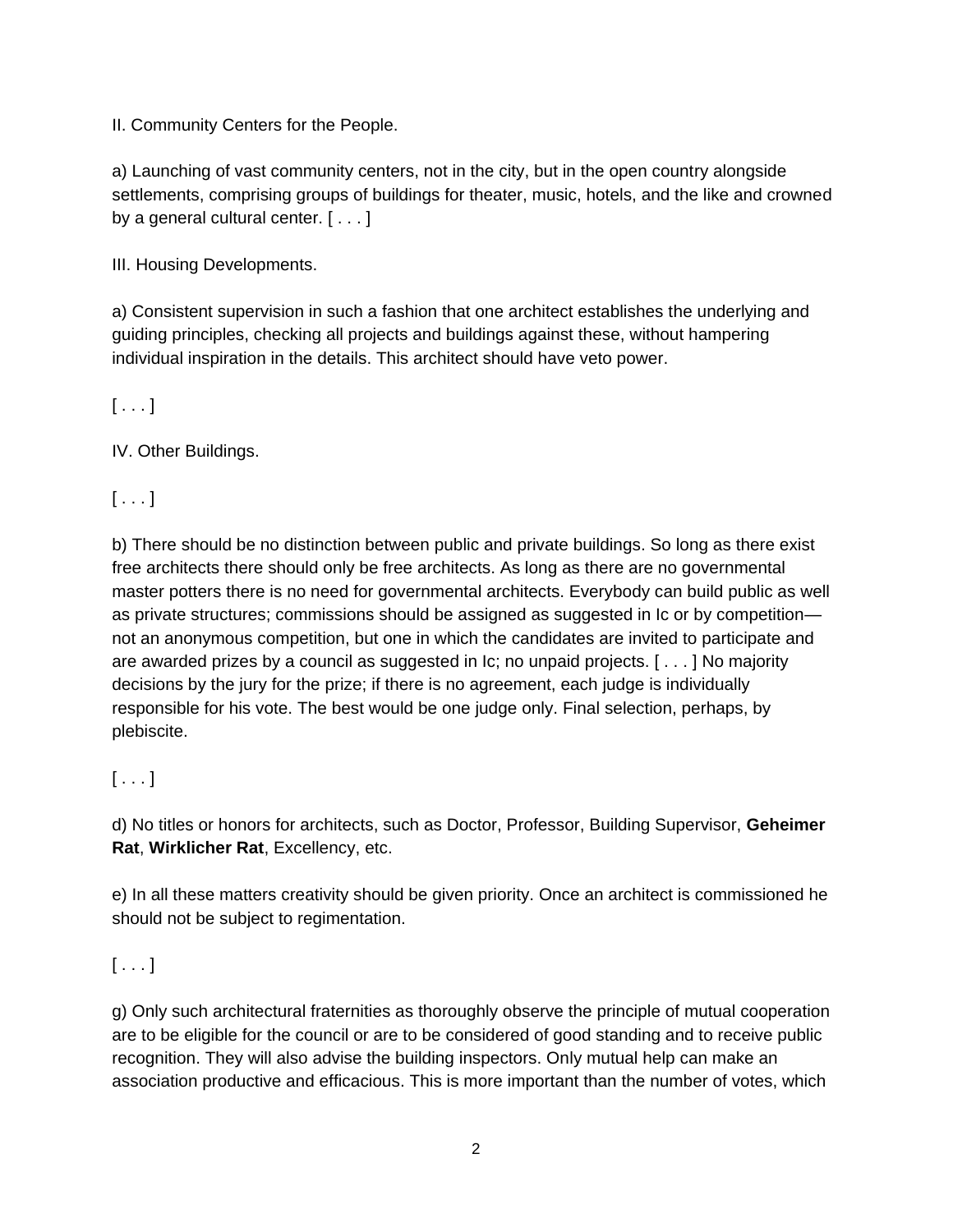II. Community Centers for the People.

a) Launching of vast community centers, not in the city, but in the open country alongside settlements, comprising groups of buildings for theater, music, hotels, and the like and crowned by a general cultural center. [ . . . ]

III. Housing Developments.

a) Consistent supervision in such a fashion that one architect establishes the underlying and guiding principles, checking all projects and buildings against these, without hampering individual inspiration in the details. This architect should have veto power.

 $[\ldots]$ 

IV. Other Buildings.

 $[ \ldots ]$ 

b) There should be no distinction between public and private buildings. So long as there exist free architects there should only be free architects. As long as there are no governmental master potters there is no need for governmental architects. Everybody can build public as well as private structures; commissions should be assigned as suggested in Ic or by competition not an anonymous competition, but one in which the candidates are invited to participate and are awarded prizes by a council as suggested in Ic; no unpaid projects. [ . . . ] No majority decisions by the jury for the prize; if there is no agreement, each judge is individually responsible for his vote. The best would be one judge only. Final selection, perhaps, by plebiscite.

 $[\ldots]$ 

d) No titles or honors for architects, such as Doctor, Professor, Building Supervisor, **Geheimer Rat**, **Wirklicher Rat**, Excellency, etc.

e) In all these matters creativity should be given priority. Once an architect is commissioned he should not be subject to regimentation.

 $[\ldots]$ 

g) Only such architectural fraternities as thoroughly observe the principle of mutual cooperation are to be eligible for the council or are to be considered of good standing and to receive public recognition. They will also advise the building inspectors. Only mutual help can make an association productive and efficacious. This is more important than the number of votes, which